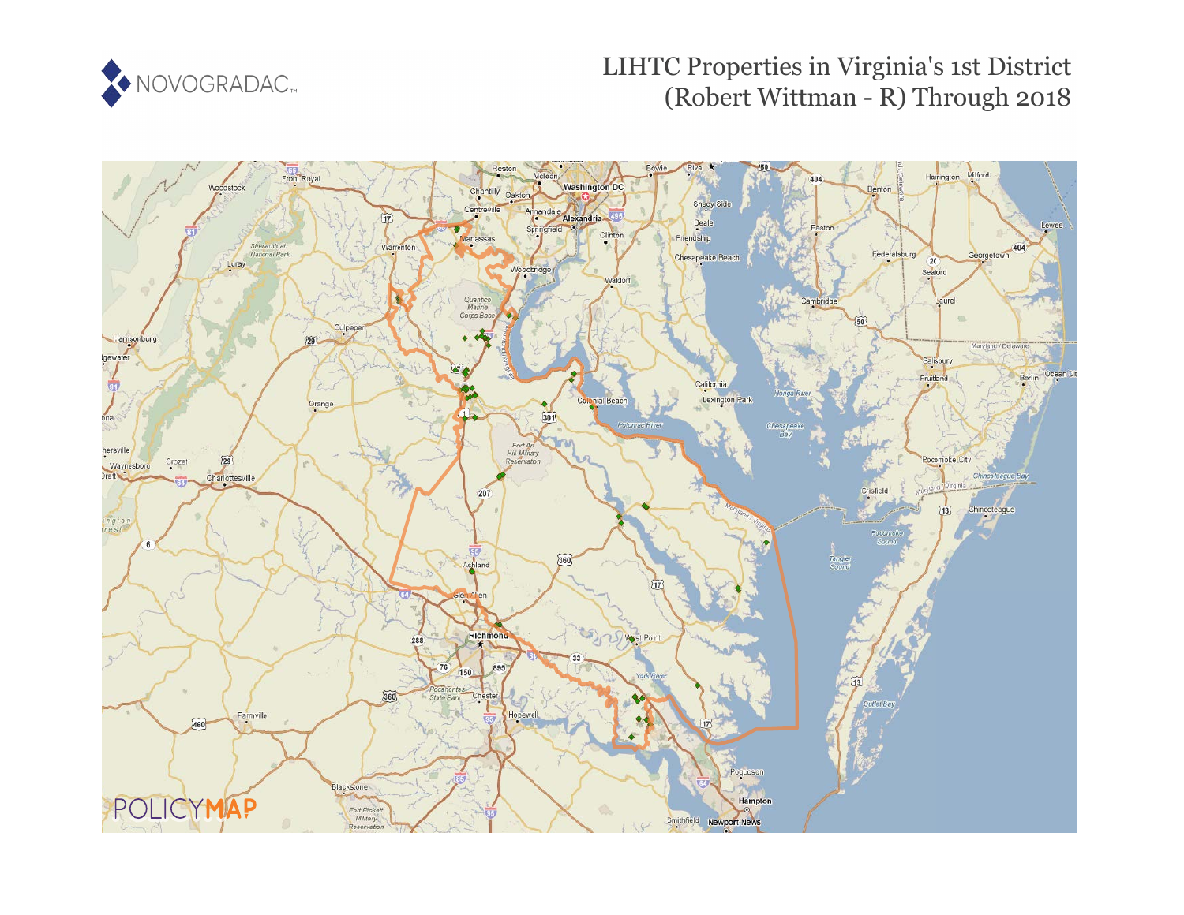

# LIHTC Properties in Virginia's 1st District (Robert Wittman - R) Through 2018

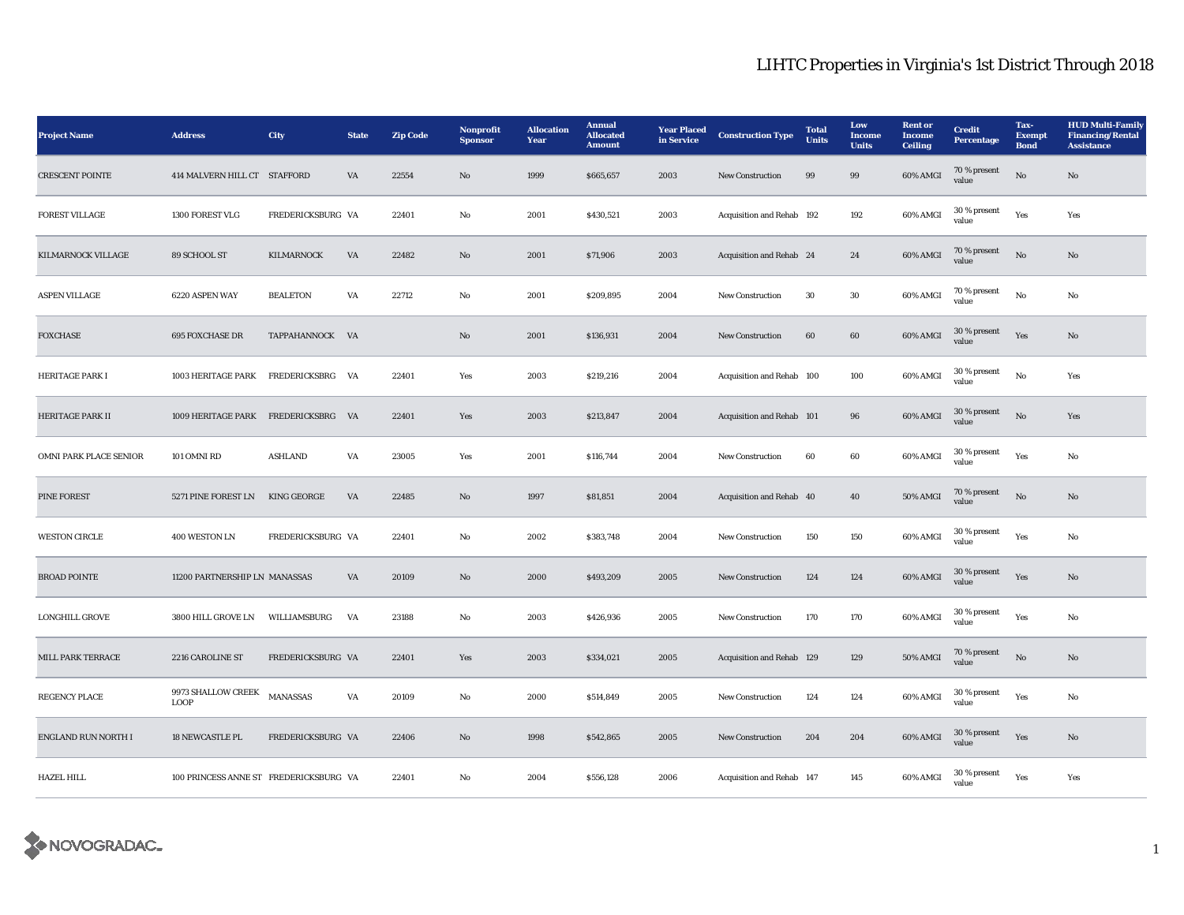| <b>Project Name</b>       | <b>Address</b>                         | City                 | <b>State</b> | <b>Zip Code</b> | Nonprofit<br><b>Sponsor</b> | <b>Allocation</b><br>Year | <b>Annual</b><br><b>Allocated</b><br><b>Amount</b> | <b>Year Placed</b><br>in Service | <b>Construction Type</b>  | <b>Total</b><br><b>Units</b> | Low<br><b>Income</b><br><b>Units</b> | <b>Rent</b> or<br><b>Income</b><br><b>Ceiling</b> | <b>Credit</b><br><b>Percentage</b> | Tax-<br><b>Exempt</b><br><b>Bond</b> | <b>HUD Multi-Family</b><br><b>Financing/Rental</b><br><b>Assistance</b> |
|---------------------------|----------------------------------------|----------------------|--------------|-----------------|-----------------------------|---------------------------|----------------------------------------------------|----------------------------------|---------------------------|------------------------------|--------------------------------------|---------------------------------------------------|------------------------------------|--------------------------------------|-------------------------------------------------------------------------|
| <b>CRESCENT POINTE</b>    | 414 MALVERN HILL CT STAFFORD           |                      | VA           | 22554           | No                          | 1999                      | \$665,657                                          | 2003                             | <b>New Construction</b>   | 99                           | 99                                   | 60% AMGI                                          | 70 % present<br>value              | No                                   | No                                                                      |
| <b>FOREST VILLAGE</b>     | 1300 FOREST VLG                        | FREDERICKSBURG VA    |              | 22401           | No                          | 2001                      | \$430,521                                          | 2003                             | Acquisition and Rehab 192 |                              | 192                                  | 60% AMGI                                          | 30 % present<br>value              | Yes                                  | Yes                                                                     |
| <b>KILMARNOCK VILLAGE</b> | 89 SCHOOL ST                           | KILMARNOCK           | VA           | 22482           | $\mathbf{No}$               | 2001                      | \$71,906                                           | 2003                             | Acquisition and Rehab 24  |                              | $\bf 24$                             | 60% AMGI                                          | 70 % present<br>value              | $\rm No$                             | $\mathbf{No}$                                                           |
| <b>ASPEN VILLAGE</b>      | 6220 ASPEN WAY                         | <b>BEALETON</b>      | VA           | 22712           | No                          | 2001                      | \$209,895                                          | 2004                             | <b>New Construction</b>   | 30                           | 30                                   | 60% AMGI                                          | 70 % present<br>value              | $_{\rm No}$                          | No                                                                      |
| <b>FOXCHASE</b>           | <b>695 FOXCHASE DR</b>                 | TAPPAHANNOCK VA      |              |                 | $\mathbf{N}\mathbf{o}$      | 2001                      | \$136,931                                          | 2004                             | <b>New Construction</b>   | 60                           | 60                                   | 60% AMGI                                          | 30 % present<br>value              | Yes                                  | No                                                                      |
| <b>HERITAGE PARK I</b>    | 1003 HERITAGE PARK                     | <b>FREDERICKSBRG</b> | <b>VA</b>    | 22401           | Yes                         | 2003                      | \$219,216                                          | 2004                             | Acquisition and Rehab 100 |                              | 100                                  | 60% AMGI                                          | 30 % present<br>value              | $\mathbf{No}$                        | Yes                                                                     |
| HERITAGE PARK II          | 1009 HERITAGE PARK                     | FREDERICKSBRG VA     |              | 22401           | Yes                         | 2003                      | \$213,847                                          | 2004                             | Acquisition and Rehab 101 |                              | 96                                   | 60% AMGI                                          | 30 % present<br>value              | No                                   | Yes                                                                     |
| OMNI PARK PLACE SENIOR    | 101 OMNI RD                            | <b>ASHLAND</b>       | VA           | 23005           | Yes                         | 2001                      | \$116,744                                          | 2004                             | New Construction          | $60\,$                       | 60                                   | 60% AMGI                                          | 30 % present<br>value              | Yes                                  | No                                                                      |
| PINE FOREST               | 5271 PINE FOREST LN                    | <b>KING GEORGE</b>   | VA           | 22485           | No                          | 1997                      | \$81,851                                           | 2004                             | Acquisition and Rehab 40  |                              | 40                                   | <b>50% AMGI</b>                                   | 70 % present<br>value              | $\rm No$                             | No                                                                      |
| <b>WESTON CIRCLE</b>      | 400 WESTON LN                          | FREDERICKSBURG VA    |              | 22401           | No                          | 2002                      | \$383,748                                          | 2004                             | <b>New Construction</b>   | 150                          | 150                                  | 60% AMGI                                          | 30 % present<br>value              | Yes                                  | No                                                                      |
| <b>BROAD POINTE</b>       | 11200 PARTNERSHIP LN MANASSAS          |                      | VA           | 20109           | $\rm No$                    | 2000                      | \$493,209                                          | 2005                             | New Construction          | 124                          | 124                                  | 60% AMGI                                          | 30 % present<br>value              | Yes                                  | $\mathbf{N}\mathbf{o}$                                                  |
| LONGHILL GROVE            | 3800 HILL GROVE LN                     | WILLIAMSBURG         | VA           | 23188           | No                          | 2003                      | \$426,936                                          | 2005                             | New Construction          | 170                          | 170                                  | 60% AMGI                                          | 30 % present<br>value              | Yes                                  | No                                                                      |
| MILL PARK TERRACE         | 2216 CAROLINE ST                       | FREDERICKSBURG VA    |              | 22401           | Yes                         | 2003                      | \$334,021                                          | 2005                             | Acquisition and Rehab 129 |                              | 129                                  | 50% AMGI                                          | 70 % present<br>value              | $_{\rm No}$                          | No                                                                      |
| <b>REGENCY PLACE</b>      | 9973 SHALLOW CREEK<br><b>LOOP</b>      | <b>MANASSAS</b>      | VA           | 20109           | No                          | 2000                      | \$514,849                                          | 2005                             | <b>New Construction</b>   | 124                          | 124                                  | 60% AMGI                                          | 30 % present<br>value              | Yes                                  | No                                                                      |
| ENGLAND RUN NORTH I       | <b>18 NEWCASTLE PL</b>                 | FREDERICKSBURG VA    |              | 22406           | No                          | 1998                      | \$542,865                                          | 2005                             | <b>New Construction</b>   | 204                          | 204                                  | 60% AMGI                                          | 30 % present<br>value              | Yes                                  | No                                                                      |
| <b>HAZEL HILL</b>         | 100 PRINCESS ANNE ST FREDERICKSBURG VA |                      |              | 22401           | No                          | 2004                      | \$556,128                                          | 2006                             | Acquisition and Rehab 147 |                              | 145                                  | 60% AMGI                                          | 30 % present<br>value              | Yes                                  | Yes                                                                     |

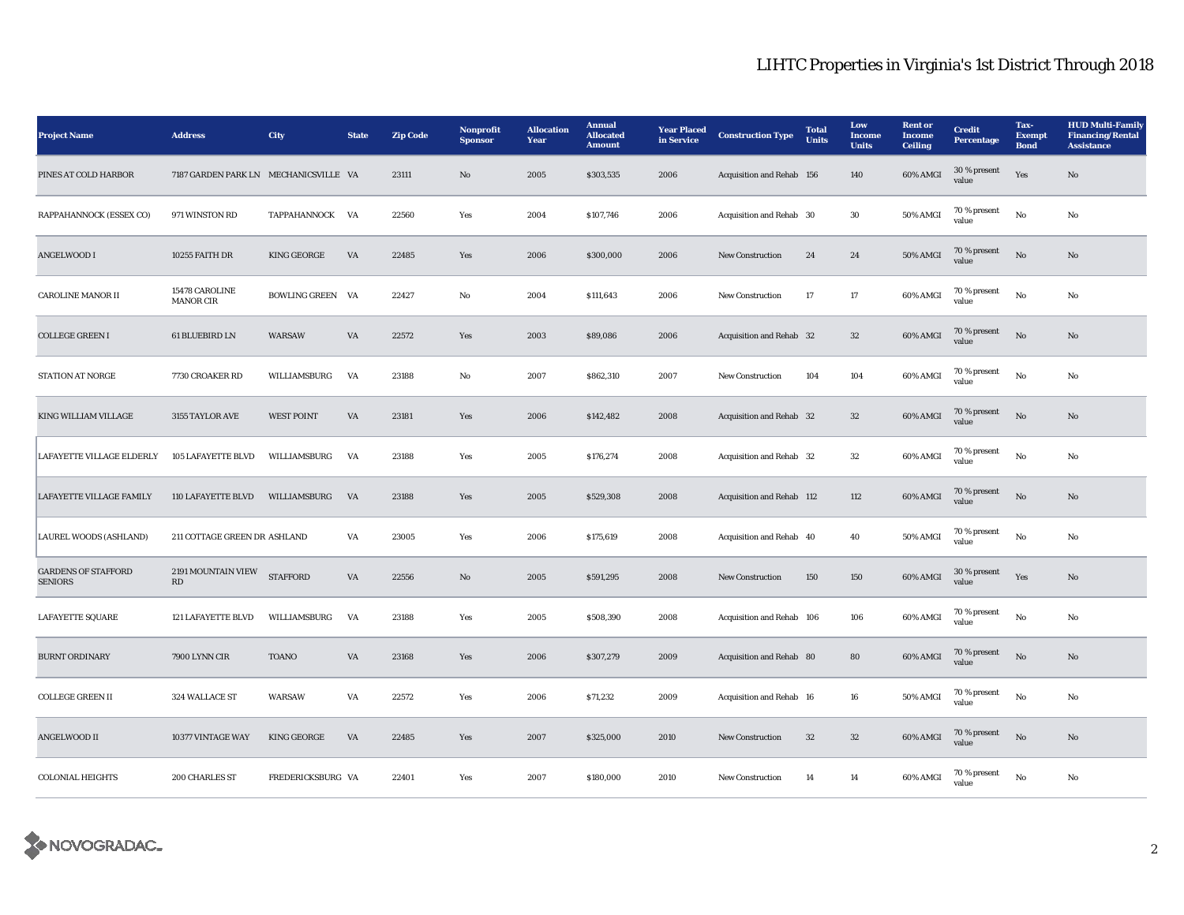| <b>Project Name</b>                          | <b>Address</b>                        | City                    | <b>State</b> | <b>Zip Code</b> | <b>Nonprofit</b><br><b>Sponsor</b> | <b>Allocation</b><br>Year | <b>Annual</b><br><b>Allocated</b><br><b>Amount</b> | <b>Year Placed</b><br>in Service | <b>Construction Type</b>  | <b>Total</b><br><b>Units</b> | Low<br><b>Income</b><br><b>Units</b> | <b>Rent or</b><br><b>Income</b><br><b>Ceiling</b> | <b>Credit</b><br><b>Percentage</b> | Tax-<br><b>Exempt</b><br><b>Bond</b> | <b>HUD Multi-Family</b><br><b>Financing/Rental</b><br><b>Assistance</b> |
|----------------------------------------------|---------------------------------------|-------------------------|--------------|-----------------|------------------------------------|---------------------------|----------------------------------------------------|----------------------------------|---------------------------|------------------------------|--------------------------------------|---------------------------------------------------|------------------------------------|--------------------------------------|-------------------------------------------------------------------------|
| PINES AT COLD HARBOR                         | 7187 GARDEN PARK LN MECHANICSVILLE VA |                         |              | 23111           | No                                 | 2005                      | \$303,535                                          | 2006                             | Acquisition and Rehab 156 |                              | 140                                  | 60% AMGI                                          | 30 % present<br>value              | Yes                                  | $\rm No$                                                                |
| RAPPAHANNOCK (ESSEX CO)                      | 971 WINSTON RD                        | TAPPAHANNOCK VA         |              | 22560           | Yes                                | 2004                      | \$107,746                                          | 2006                             | Acquisition and Rehab 30  |                              | $30\,$                               | 50% AMGI                                          | 70 % present<br>value              | $_{\rm No}$                          | No                                                                      |
| <b>ANGELWOOD I</b>                           | 10255 FAITH DR                        | <b>KING GEORGE</b>      | VA           | 22485           | Yes                                | 2006                      | \$300,000                                          | 2006                             | <b>New Construction</b>   | 24                           | 24                                   | 50% AMGI                                          | 70 % present<br>value              | No                                   | No                                                                      |
| <b>CAROLINE MANOR II</b>                     | 15478 CAROLINE<br><b>MANOR CIR</b>    | <b>BOWLING GREEN VA</b> |              | 22427           | No                                 | 2004                      | \$111,643                                          | 2006                             | New Construction          | 17                           | 17                                   | 60% AMGI                                          | 70 % present<br>value              | No                                   | No                                                                      |
| <b>COLLEGE GREEN I</b>                       | 61 BLUEBIRD LN                        | <b>WARSAW</b>           | VA           | 22572           | Yes                                | 2003                      | \$89,086                                           | 2006                             | Acquisition and Rehab 32  |                              | 32                                   | 60% AMGI                                          | 70 % present<br>value              | No                                   | No                                                                      |
| STATION AT NORGE                             | 7730 CROAKER RD                       | WILLIAMSBURG            | VA           | 23188           | No                                 | 2007                      | \$862,310                                          | 2007                             | <b>New Construction</b>   | 104                          | 104                                  | 60% AMGI                                          | 70 % present<br>value              | No                                   | No                                                                      |
| KING WILLIAM VILLAGE                         | 3155 TAYLOR AVE                       | <b>WEST POINT</b>       | VA           | 23181           | Yes                                | 2006                      | \$142,482                                          | 2008                             | Acquisition and Rehab 32  |                              | $32\,$                               | 60% AMGI                                          | 70 % present<br>value              | $_{\rm No}$                          | $\mathbf{N}\mathbf{o}$                                                  |
| LAFAYETTE VILLAGE ELDERLY                    | 105 LAFAYETTE BLVD                    | WILLIAMSBURG            | VA           | 23188           | Yes                                | 2005                      | \$176,274                                          | 2008                             | Acquisition and Rehab 32  |                              | $32\,$                               | 60% AMGI                                          | 70 % present<br>value              | $_{\rm No}$                          | No                                                                      |
| LAFAYETTE VILLAGE FAMILY                     | 110 LAFAYETTE BLVD                    | WILLIAMSBURG            | VA           | 23188           | Yes                                | 2005                      | \$529,308                                          | 2008                             | Acquisition and Rehab 112 |                              | 112                                  | 60% AMGI                                          | 70 % present<br>value              | $\mathbf{N}\mathbf{o}$               | No                                                                      |
| <b>LAUREL WOODS (ASHLAND)</b>                | 211 COTTAGE GREEN DR ASHLAND          |                         | VA           | 23005           | Yes                                | 2006                      | \$175,619                                          | 2008                             | Acquisition and Rehab 40  |                              | 40                                   | 50% AMGI                                          | 70 % present<br>value              | No                                   | No                                                                      |
| <b>GARDENS OF STAFFORD</b><br><b>SENIORS</b> | 2191 MOUNTAIN VIEW<br>RD              | <b>STAFFORD</b>         | VA           | 22556           | No                                 | 2005                      | \$591,295                                          | 2008                             | <b>New Construction</b>   | 150                          | 150                                  | 60% AMGI                                          | 30 % present<br>value              | Yes                                  | No                                                                      |
| <b>LAFAYETTE SQUARE</b>                      | 121 LAFAYETTE BLVD                    | WILLIAMSBURG            | VA           | 23188           | Yes                                | 2005                      | \$508,390                                          | 2008                             | Acquisition and Rehab 106 |                              | 106                                  | 60% AMGI                                          | 70 % present<br>value              | No                                   | No                                                                      |
| <b>BURNT ORDINARY</b>                        | 7900 LYNN CIR                         | <b>TOANO</b>            | VA           | 23168           | Yes                                | 2006                      | \$307,279                                          | 2009                             | Acquisition and Rehab 80  |                              | 80                                   | 60% AMGI                                          | 70 % present<br>value              | $\rm No$                             | No                                                                      |
| <b>COLLEGE GREEN II</b>                      | 324 WALLACE ST                        | WARSAW                  | VA           | 22572           | Yes                                | 2006                      | \$71,232                                           | 2009                             | Acquisition and Rehab 16  |                              | 16                                   | 50% AMGI                                          | 70 % present<br>value              | $_{\rm No}$                          | No                                                                      |
| ANGELWOOD II                                 | 10377 VINTAGE WAY                     | <b>KING GEORGE</b>      | VA           | 22485           | Yes                                | 2007                      | \$325,000                                          | 2010                             | <b>New Construction</b>   | $32\,$                       | $32\,$                               | 60% AMGI                                          | 70 % present<br>value              | No                                   | $\mathbf{N}\mathbf{o}$                                                  |
| <b>COLONIAL HEIGHTS</b>                      | 200 CHARLES ST                        | FREDERICKSBURG VA       |              | 22401           | Yes                                | 2007                      | \$180,000                                          | 2010                             | <b>New Construction</b>   | 14                           | 14                                   | 60% AMGI                                          | 70 % present<br>value              | No                                   | No                                                                      |

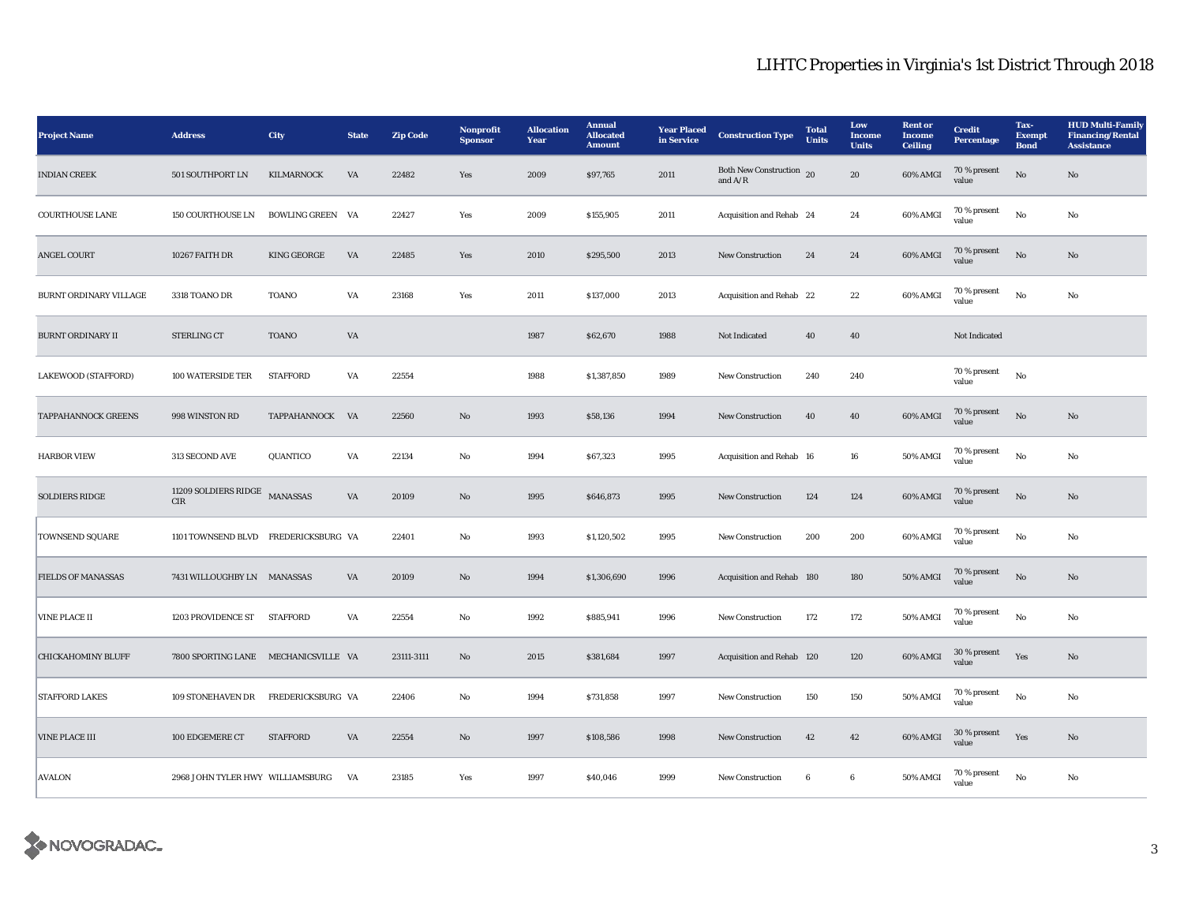| <b>Project Name</b>       | <b>Address</b>                       | <b>City</b>             | <b>State</b> | <b>Zip Code</b> | Nonprofit<br><b>Sponsor</b> | <b>Allocation</b><br>Year | <b>Annual</b><br><b>Allocated</b><br><b>Amount</b> | <b>Year Placed</b><br>in Service | <b>Construction Type</b>                                | <b>Total</b><br><b>Units</b> | Low<br><b>Income</b><br><b>Units</b> | <b>Rent or</b><br><b>Income</b><br><b>Ceiling</b> | <b>Credit</b><br>Percentage | Tax-<br><b>Exempt</b><br><b>Bond</b> | <b>HUD Multi-Family</b><br><b>Financing/Rental</b><br><b>Assistance</b> |
|---------------------------|--------------------------------------|-------------------------|--------------|-----------------|-----------------------------|---------------------------|----------------------------------------------------|----------------------------------|---------------------------------------------------------|------------------------------|--------------------------------------|---------------------------------------------------|-----------------------------|--------------------------------------|-------------------------------------------------------------------------|
| <b>INDIAN CREEK</b>       | 501 SOUTHPORT LN                     | KILMARNOCK              | VA           | 22482           | Yes                         | 2009                      | \$97,765                                           | 2011                             | Both New Construction 20<br>and $\mathrm{A}/\mathrm{R}$ |                              | 20                                   | 60% AMGI                                          | 70 % present<br>value       | $\rm No$                             | No                                                                      |
| <b>COURTHOUSE LANE</b>    | 150 COURTHOUSE LN                    | <b>BOWLING GREEN VA</b> |              | 22427           | Yes                         | 2009                      | \$155,905                                          | 2011                             | Acquisition and Rehab 24                                |                              | 24                                   | 60% AMGI                                          | 70 % present<br>value       | $\rm No$                             | No                                                                      |
| ANGEL COURT               | 10267 FAITH DR                       | <b>KING GEORGE</b>      | VA           | 22485           | Yes                         | 2010                      | \$295,500                                          | 2013                             | <b>New Construction</b>                                 | 24                           | 24                                   | 60% AMGI                                          | 70 % present<br>value       | No                                   | No                                                                      |
| BURNT ORDINARY VILLAGE    | 3318 TOANO DR                        | <b>TOANO</b>            | VA           | 23168           | Yes                         | 2011                      | \$137,000                                          | 2013                             | Acquisition and Rehab 22                                |                              | 22                                   | 60% AMGI                                          | 70 % present<br>value       | $_{\rm No}$                          | No                                                                      |
| <b>BURNT ORDINARY II</b>  | <b>STERLING CT</b>                   | <b>TOANO</b>            | VA           |                 |                             | 1987                      | \$62,670                                           | 1988                             | Not Indicated                                           | 40                           | 40                                   |                                                   | Not Indicated               |                                      |                                                                         |
| LAKEWOOD (STAFFORD)       | 100 WATERSIDE TER                    | <b>STAFFORD</b>         | VA           | 22554           |                             | 1988                      | \$1,387,850                                        | 1989                             | <b>New Construction</b>                                 | 240                          | 240                                  |                                                   | 70 % present<br>value       | No                                   |                                                                         |
| TAPPAHANNOCK GREENS       | 998 WINSTON RD                       | TAPPAHANNOCK VA         |              | 22560           | $\mathbf{N}\mathbf{o}$      | 1993                      | \$58,136                                           | 1994                             | New Construction                                        | 40                           | ${\bf 40}$                           | 60% AMGI                                          | 70 % present<br>value       | $_{\rm No}$                          | No                                                                      |
| <b>HARBOR VIEW</b>        | 313 SECOND AVE                       | QUANTICO                | VA           | 22134           | No                          | 1994                      | \$67,323                                           | 1995                             | Acquisition and Rehab 16                                |                              | ${\bf 16}$                           | 50% AMGI                                          | 70 % present<br>value       | $_{\rm No}$                          | No                                                                      |
| <b>SOLDIERS RIDGE</b>     | 11209 SOLDIERS RIDGE<br>CIR          | MANASSAS                | VA           | 20109           | No                          | 1995                      | \$646,873                                          | 1995                             | <b>New Construction</b>                                 | 124                          | 124                                  | 60% AMGI                                          | 70 % present<br>value       | $\rm No$                             | No                                                                      |
| TOWNSEND SQUARE           | 1101 TOWNSEND BLVD FREDERICKSBURG VA |                         |              | 22401           | No                          | 1993                      | \$1,120,502                                        | 1995                             | <b>New Construction</b>                                 | 200                          | 200                                  | 60% AMGI                                          | $70\,\%$ present<br>value   | No                                   | No                                                                      |
| <b>FIELDS OF MANASSAS</b> | 7431 WILLOUGHBY LN MANASSAS          |                         | VA           | 20109           | No                          | 1994                      | \$1,306,690                                        | 1996                             | Acquisition and Rehab 180                               |                              | 180                                  | 50% AMGI                                          | 70 % present<br>value       | No                                   | No                                                                      |
| <b>VINE PLACE II</b>      | 1203 PROVIDENCE ST STAFFORD          |                         | VA           | 22554           | No                          | 1992                      | \$885,941                                          | 1996                             | <b>New Construction</b>                                 | 172                          | 172                                  | 50% AMGI                                          | 70 % present<br>value       | No                                   | No                                                                      |
| <b>CHICKAHOMINY BLUFF</b> | 7800 SPORTING LANE MECHANICSVILLE VA |                         |              | 23111-3111      | $\mathbf{N}\mathbf{o}$      | 2015                      | \$381,684                                          | 1997                             | Acquisition and Rehab 120                               |                              | 120                                  | <b>60% AMGI</b>                                   | 30 % present<br>value       | Yes                                  | No                                                                      |
| <b>STAFFORD LAKES</b>     | 109 STONEHAVEN DR                    | FREDERICKSBURG VA       |              | 22406           | No                          | 1994                      | \$731,858                                          | 1997                             | <b>New Construction</b>                                 | 150                          | 150                                  | 50% AMGI                                          | 70 % present<br>value       | $_{\rm No}$                          | No                                                                      |
| VINE PLACE III            | 100 EDGEMERE CT                      | <b>STAFFORD</b>         | VA           | 22554           | No                          | 1997                      | \$108,586                                          | 1998                             | <b>New Construction</b>                                 | 42                           | 42                                   | 60% AMGI                                          | 30 % present<br>value       | Yes                                  | $\mathbf{N}\mathbf{o}$                                                  |
| <b>AVALON</b>             | 2968 JOHN TYLER HWY WILLIAMSBURG     |                         | VA           | 23185           | Yes                         | 1997                      | \$40,046                                           | 1999                             | <b>New Construction</b>                                 | 6                            | 6                                    | 50% AMGI                                          | 70 % present<br>value       | No                                   | No                                                                      |

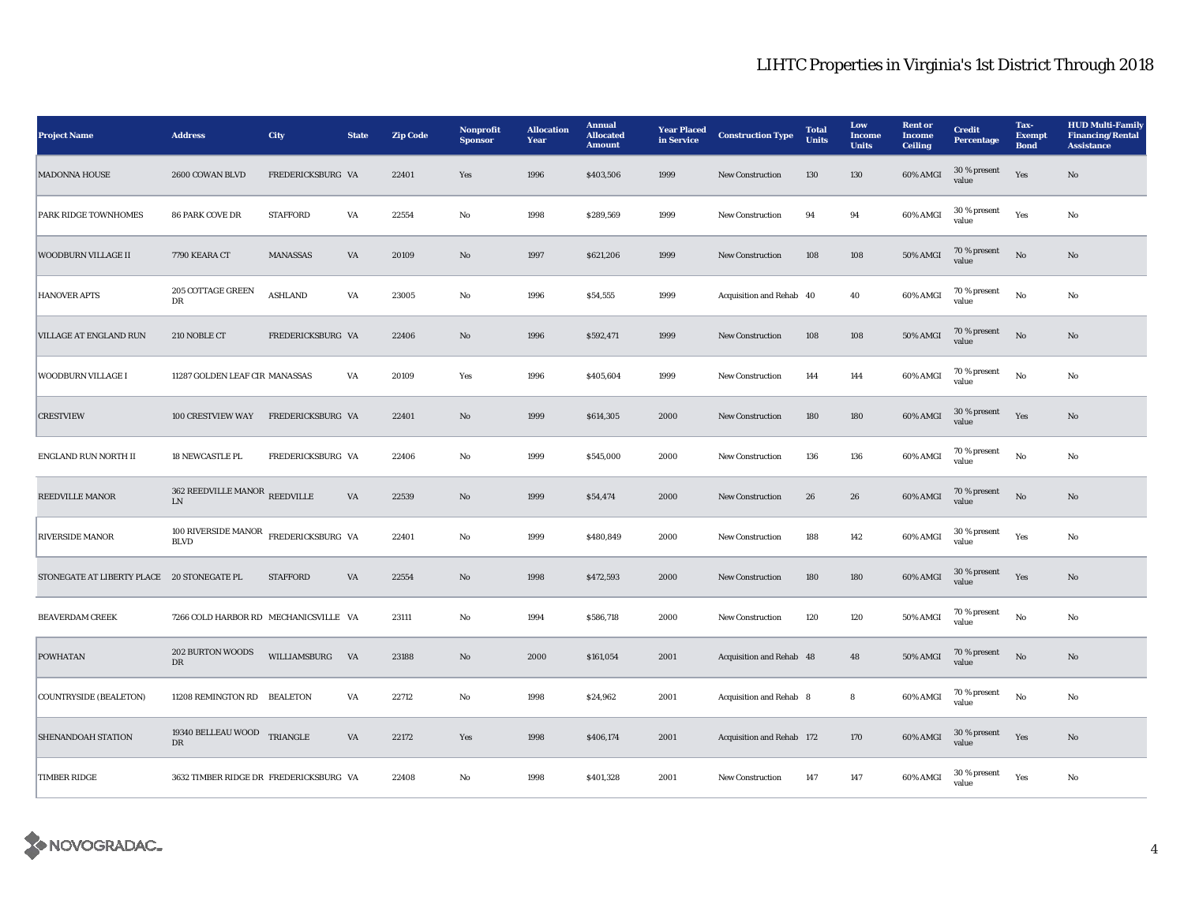| <b>Project Name</b>                        | <b>Address</b>                             | City              | <b>State</b> | <b>Zip Code</b> | <b>Nonprofit</b><br><b>Sponsor</b> | <b>Allocation</b><br>Year | <b>Annual</b><br><b>Allocated</b><br><b>Amount</b> | <b>Year Placed</b><br>in Service | <b>Construction Type</b>  | <b>Total</b><br><b>Units</b> | Low<br><b>Income</b><br><b>Units</b> | <b>Rent or</b><br><b>Income</b><br><b>Ceiling</b> | <b>Credit</b><br><b>Percentage</b> | Tax-<br><b>Exempt</b><br><b>Bond</b> | <b>HUD Multi-Family</b><br><b>Financing/Rental</b><br><b>Assistance</b> |
|--------------------------------------------|--------------------------------------------|-------------------|--------------|-----------------|------------------------------------|---------------------------|----------------------------------------------------|----------------------------------|---------------------------|------------------------------|--------------------------------------|---------------------------------------------------|------------------------------------|--------------------------------------|-------------------------------------------------------------------------|
| <b>MADONNA HOUSE</b>                       | 2600 COWAN BLVD                            | FREDERICKSBURG VA |              | 22401           | Yes                                | 1996                      | \$403,506                                          | 1999                             | <b>New Construction</b>   | 130                          | 130                                  | 60% AMGI                                          | 30 % present<br>value              | Yes                                  | No                                                                      |
| PARK RIDGE TOWNHOMES                       | <b>86 PARK COVE DR</b>                     | <b>STAFFORD</b>   | VA           | 22554           | $\rm No$                           | 1998                      | \$289,569                                          | 1999                             | New Construction          | 94                           | 94                                   | 60% AMGI                                          | 30 % present<br>value              | Yes                                  | No                                                                      |
| <b>WOODBURN VILLAGE II</b>                 | 7790 KEARA CT                              | MANASSAS          | VA           | 20109           | $\rm No$                           | 1997                      | \$621,206                                          | 1999                             | New Construction          | 108                          | 108                                  | 50% AMGI                                          | 70 % present<br>value              | No                                   | $\mathbf{N}\mathbf{o}$                                                  |
| <b>HANOVER APTS</b>                        | 205 COTTAGE GREEN<br>DR                    | <b>ASHLAND</b>    | VA           | 23005           | $_{\rm No}$                        | 1996                      | \$54,555                                           | 1999                             | Acquisition and Rehab 40  |                              | 40                                   | 60% AMGI                                          | 70 % present<br>value              | $_{\rm No}$                          | $_{\rm No}$                                                             |
| VILLAGE AT ENGLAND RUN                     | 210 NOBLE CT                               | FREDERICKSBURG VA |              | 22406           | No                                 | 1996                      | \$592,471                                          | 1999                             | New Construction          | 108                          | 108                                  | <b>50% AMGI</b>                                   | 70 % present<br>value              | No                                   | No                                                                      |
| <b>WOODBURN VILLAGE I</b>                  | 11287 GOLDEN LEAF CIR MANASSAS             |                   | VA           | 20109           | Yes                                | 1996                      | \$405,604                                          | 1999                             | <b>New Construction</b>   | 144                          | 144                                  | 60% AMGI                                          | 70 % present<br>value              | $\mathbf{No}$                        | No                                                                      |
| <b>CRESTVIEW</b>                           | 100 CRESTVIEW WAY                          | FREDERICKSBURG VA |              | 22401           | $\mathbf{No}$                      | 1999                      | \$614,305                                          | 2000                             | New Construction          | 180                          | 180                                  | 60% AMGI                                          | 30 % present<br>value              | Yes                                  | $\mathbf{N}\mathbf{o}$                                                  |
| ENGLAND RUN NORTH II                       | <b>18 NEWCASTLE PL</b>                     | FREDERICKSBURG VA |              | 22406           | No                                 | 1999                      | \$545,000                                          | 2000                             | <b>New Construction</b>   | 136                          | 136                                  | 60% AMGI                                          | 70 % present<br>value              | $\mathbf{No}$                        | No                                                                      |
| <b>REEDVILLE MANOR</b>                     | 362 REEDVILLE MANOR REEDVILLE<br><b>LN</b> |                   | VA           | 22539           | No                                 | 1999                      | \$54,474                                           | 2000                             | <b>New Construction</b>   | 26                           | 26                                   | 60% AMGI                                          | 70 % present<br>value              | No                                   | No                                                                      |
| <b>RIVERSIDE MANOR</b>                     | 100 RIVERSIDE MANOR<br><b>BLVD</b>         | FREDERICKSBURG VA |              | 22401           | $_{\rm No}$                        | 1999                      | \$480,849                                          | 2000                             | New Construction          | 188                          | 142                                  | 60% AMGI                                          | 30 % present<br>value              | Yes                                  | $\mathbf{No}$                                                           |
| STONEGATE AT LIBERTY PLACE 20 STONEGATE PL |                                            | <b>STAFFORD</b>   | VA           | 22554           | No                                 | 1998                      | \$472,593                                          | 2000                             | New Construction          | 180                          | 180                                  | 60% AMGI                                          | 30 % present<br>value              | Yes                                  | No                                                                      |
| <b>BEAVERDAM CREEK</b>                     | 7266 COLD HARBOR RD MECHANICSVILLE VA      |                   |              | 23111           | $_{\rm No}$                        | 1994                      | \$586,718                                          | 2000                             | New Construction          | 120                          | 120                                  | 50% AMGI                                          | 70 % present<br>value              | $_{\rm No}$                          | No                                                                      |
| <b>POWHATAN</b>                            | 202 BURTON WOODS<br>$_{\rm DR}$            | WILLIAMSBURG      | VA           | 23188           | $\mathbf{N}\mathbf{o}$             | 2000                      | \$161,054                                          | 2001                             | Acquisition and Rehab 48  |                              | 48                                   | 50% AMGI                                          | 70 % present<br>value              | $\mathbf{N}\mathbf{o}$               | No                                                                      |
| <b>COUNTRYSIDE (BEALETON)</b>              | 11208 REMINGTON RD BEALETON                |                   | VA           | 22712           | $\rm No$                           | 1998                      | \$24,962                                           | 2001                             | Acquisition and Rehab 8   |                              | 8                                    | 60% AMGI                                          | 70 % present<br>value              | $_{\rm No}$                          | No                                                                      |
| SHENANDOAH STATION                         | 19340 BELLEAU WOOD<br>DR                   | TRIANGLE          | VA           | 22172           | Yes                                | 1998                      | \$406,174                                          | 2001                             | Acquisition and Rehab 172 |                              | 170                                  | 60% AMGI                                          | 30 % present<br>value              | Yes                                  | No                                                                      |
| <b>TIMBER RIDGE</b>                        | 3632 TIMBER RIDGE DR FREDERICKSBURG VA     |                   |              | 22408           | No                                 | 1998                      | \$401,328                                          | 2001                             | New Construction          | 147                          | 147                                  | 60% AMGI                                          | 30 % present<br>value              | Yes                                  | No                                                                      |

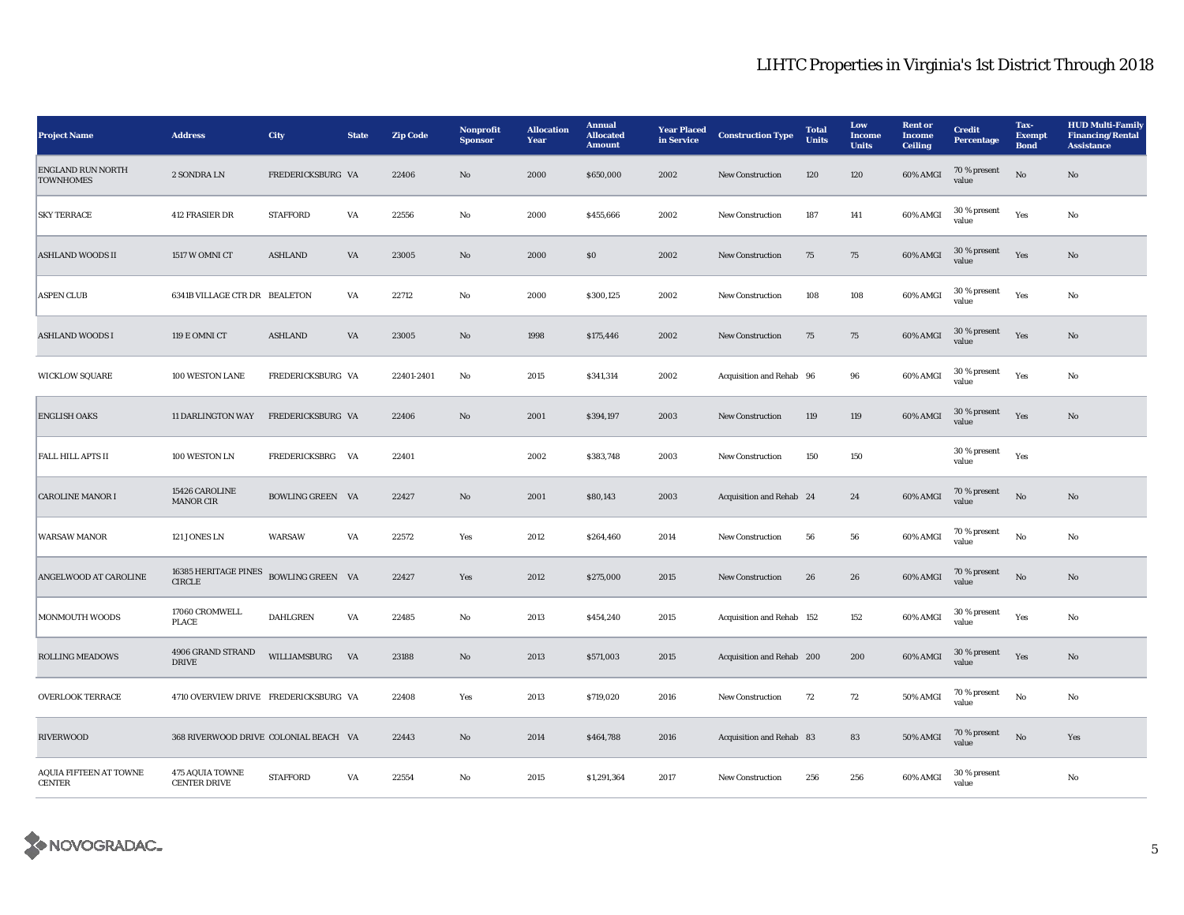| <b>Project Name</b>                             | <b>Address</b>                         | <b>City</b>             | <b>State</b> | <b>Zip Code</b> | Nonprofit<br><b>Sponsor</b> | <b>Allocation</b><br>Year | <b>Annual</b><br><b>Allocated</b><br><b>Amount</b> | <b>Year Placed</b><br>in Service | <b>Construction Type</b>  | <b>Total</b><br><b>Units</b> | Low<br><b>Income</b><br><b>Units</b> | <b>Rent</b> or<br><b>Income</b><br><b>Ceiling</b> | <b>Credit</b><br><b>Percentage</b> | Tax-<br><b>Exempt</b><br><b>Bond</b> | <b>HUD Multi-Family</b><br><b>Financing/Rental</b><br><b>Assistance</b> |
|-------------------------------------------------|----------------------------------------|-------------------------|--------------|-----------------|-----------------------------|---------------------------|----------------------------------------------------|----------------------------------|---------------------------|------------------------------|--------------------------------------|---------------------------------------------------|------------------------------------|--------------------------------------|-------------------------------------------------------------------------|
| <b>ENGLAND RUN NORTH</b><br><b>TOWNHOMES</b>    | 2 SONDRA LN                            | FREDERICKSBURG VA       |              | 22406           | No                          | 2000                      | \$650,000                                          | 2002                             | <b>New Construction</b>   | 120                          | 120                                  | 60% AMGI                                          | 70 % present<br>value              | No                                   | No                                                                      |
| <b>SKY TERRACE</b>                              | <b>412 FRASIER DR</b>                  | <b>STAFFORD</b>         | VA           | 22556           | $\mathbf{No}$               | 2000                      | \$455,666                                          | 2002                             | <b>New Construction</b>   | 187                          | 141                                  | 60% AMGI                                          | 30 % present<br>value              | Yes                                  | No                                                                      |
| <b>ASHLAND WOODS II</b>                         | 1517 W OMNI CT                         | <b>ASHLAND</b>          | VA           | 23005           | $\mathbf{N}\mathbf{o}$      | 2000                      | \$0\$                                              | 2002                             | New Construction          | 75                           | 75                                   | 60% AMGI                                          | 30 % present<br>value              | Yes                                  | $\mathbf{No}$                                                           |
| <b>ASPEN CLUB</b>                               | 6341B VILLAGE CTR DR BEALETON          |                         | VA           | 22712           | $\rm No$                    | 2000                      | \$300,125                                          | 2002                             | <b>New Construction</b>   | 108                          | 108                                  | 60% AMGI                                          | 30 % present<br>value              | Yes                                  | $\rm No$                                                                |
| <b>ASHLAND WOODS I</b>                          | 119 E OMNI CT                          | <b>ASHLAND</b>          | VA           | 23005           | No                          | 1998                      | \$175,446                                          | 2002                             | <b>New Construction</b>   | 75                           | 75                                   | 60% AMGI                                          | 30 % present<br>value              | Yes                                  | No                                                                      |
| <b>WICKLOW SQUARE</b>                           | 100 WESTON LANE                        | FREDERICKSBURG VA       |              | 22401-2401      | No                          | 2015                      | \$341,314                                          | 2002                             | Acquisition and Rehab 96  |                              | 96                                   | 60% AMGI                                          | 30 % present<br>value              | Yes                                  | No                                                                      |
| <b>ENGLISH OAKS</b>                             | <b>11 DARLINGTON WAY</b>               | FREDERICKSBURG VA       |              | 22406           | $\mathbf{N}\mathbf{o}$      | 2001                      | \$394,197                                          | 2003                             | <b>New Construction</b>   | 119                          | 119                                  | 60% AMGI                                          | 30 % present<br>value              | Yes                                  | $\mathbf{No}$                                                           |
| <b>FALL HILL APTS II</b>                        | 100 WESTON LN                          | FREDERICKSBRG VA        |              | 22401           |                             | 2002                      | \$383,748                                          | 2003                             | <b>New Construction</b>   | 150                          | 150                                  |                                                   | 30 % present<br>value              | Yes                                  |                                                                         |
| <b>CAROLINE MANOR I</b>                         | 15426 CAROLINE<br><b>MANOR CIR</b>     | <b>BOWLING GREEN VA</b> |              | 22427           | No                          | 2001                      | \$80,143                                           | 2003                             | Acquisition and Rehab 24  |                              | 24                                   | 60% AMGI                                          | 70 % present<br>value              | No                                   | No                                                                      |
| <b>WARSAW MANOR</b>                             | 121 JONES LN                           | WARSAW                  | VA           | 22572           | Yes                         | 2012                      | \$264,460                                          | 2014                             | New Construction          | 56                           | 56                                   | 60% AMGI                                          | 70 % present<br>value              | No                                   | No                                                                      |
| ANGELWOOD AT CAROLINE                           | 16385 HERITAGE PINES<br>${\tt CIRCLE}$ | BOWLING GREEN VA        |              | 22427           | Yes                         | 2012                      | \$275,000                                          | 2015                             | New Construction          | 26                           | 26                                   | 60% AMGI                                          | 70 % present<br>value              | No                                   | $\mathbf{No}$                                                           |
| MONMOUTH WOODS                                  | 17060 CROMWELL<br>PLACE                | <b>DAHLGREN</b>         | VA           | 22485           | No                          | 2013                      | \$454,240                                          | 2015                             | Acquisition and Rehab 152 |                              | 152                                  | 60% AMGI                                          | 30 % present<br>value              | Yes                                  | No                                                                      |
| <b>ROLLING MEADOWS</b>                          | 4906 GRAND STRAND<br><b>DRIVE</b>      | WILLIAMSBURG            | VA           | 23188           | No                          | 2013                      | \$571,003                                          | 2015                             | Acquisition and Rehab 200 |                              | 200                                  | 60% AMGI                                          | 30 % present<br>value              | Yes                                  | No                                                                      |
| <b>OVERLOOK TERRACE</b>                         | 4710 OVERVIEW DRIVE FREDERICKSBURG VA  |                         |              | 22408           | Yes                         | 2013                      | \$719,020                                          | 2016                             | <b>New Construction</b>   | 72                           | 72                                   | 50% AMGI                                          | 70 % present<br>value              | No                                   | No                                                                      |
| <b>RIVERWOOD</b>                                | 368 RIVERWOOD DRIVE COLONIAL BEACH VA  |                         |              | 22443           | No                          | 2014                      | \$464,788                                          | 2016                             | Acquisition and Rehab 83  |                              | 83                                   | 50% AMGI                                          | 70 % present<br>value              | No                                   | Yes                                                                     |
| <b>AQUIA FIFTEEN AT TOWNE</b><br>${\tt CENTER}$ | 475 AQUIA TOWNE<br><b>CENTER DRIVE</b> | <b>STAFFORD</b>         | VA           | 22554           | No                          | 2015                      | \$1,291,364                                        | 2017                             | <b>New Construction</b>   | 256                          | 256                                  | 60% AMGI                                          | 30 % present<br>value              |                                      | $\mathbf{No}$                                                           |